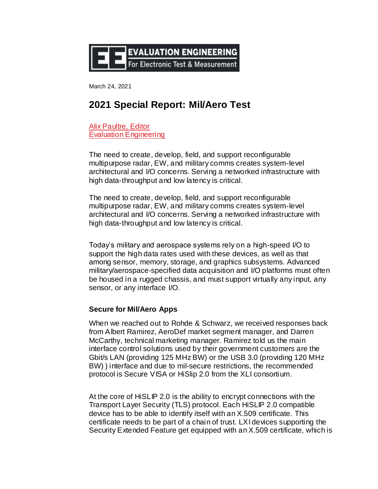

March 24, 2021

# **2021 Special Report: Mil/Aero Test**

[Alix Paultre, Editor](https://www.evaluationengineering.com/applications/contact/21130714/alix-paultre) [Evaluation Engineering](https://www.evaluationengineering.com/leaders/company/21158731/evaluation-engineering)

The need to create, develop, field, and support reconfigurable multipurpose radar, EW, and military comms creates system-level architectural and I/O concerns. Serving a networked infrastructure with high data-throughput and low latency is critical.

The need to create, develop, field, and support reconfigurable multipurpose radar, EW, and military comms creates system-level architectural and I/O concerns. Serving a networked infrastructure with high data-throughput and low latency is critical.

Today's military and aerospace systems rely on a high-speed I/O to support the high data rates used with these devices, as well as that among sensor, memory, storage, and graphics subsystems. Advanced military/aerospace-specified data acquisition and I/O platforms must often be housed in a rugged chassis, and must support virtually any input, any sensor, or any interface I/O.

## **Secure for Mil/Aero Apps**

When we reached out to Rohde & Schwarz, we received responses back from Albert Ramirez, AeroDef market segment manager, and Darren McCarthy, technical marketing manager. Ramirez told us the main interface control solutions used by their government customers are the Gbit/s LAN (providing 125 MHz BW) or the USB 3.0 (providing 120 MHz BW) ) interface and due to mil-secure restrictions, the recommended protocol is Secure VISA or HiSlip 2.0 from the XLI consortium.

At the core of HiSLIP 2.0 is the ability to encrypt connections with the Transport Layer Security (TLS) protocol. Each HiSLIP 2.0 compatible device has to be able to identify itself with an X.509 certificate. This certificate needs to be part of a chain of trust. LXI devices supporting the Security Extended Feature get equipped with an X.509 certificate, which is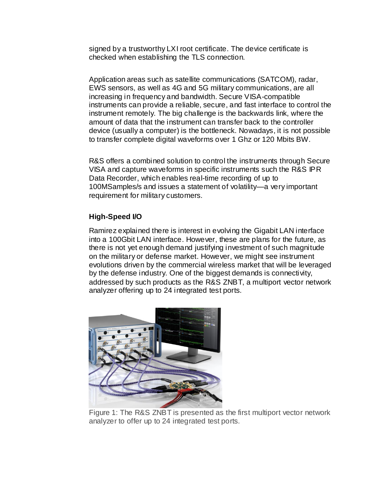signed by a trustworthy LXI root certificate. The device certificate is checked when establishing the TLS connection.

Application areas such as satellite communications (SATCOM), radar, EWS sensors, as well as 4G and 5G military communications, are all increasing in frequency and bandwidth. Secure VISA-compatible instruments can provide a reliable, secure, and fast interface to control the instrument remotely. The big challenge is the backwards link, where the amount of data that the instrument can transfer back to the controller device (usually a computer) is the bottleneck. Nowadays, it is not possible to transfer complete digital waveforms over 1 Ghz or 120 Mbits BW.

R&S offers a combined solution to control the instruments through Secure VISA and capture waveforms in specific instruments such the R&S IPR Data Recorder, which enables real-time recording of up to 100MSamples/s and issues a statement of volatility—a very important requirement for military customers.

## **High-Speed I/O**

Ramirez explained there is interest in evolving the Gigabit LAN interface into a 100Gbit LAN interface. However, these are plans for the future, as there is not yet enough demand justifying investment of such magnitude on the military or defense market. However, we might see instrument evolutions driven by the commercial wireless market that will be leveraged by the defense industry. One of the biggest demands is connectivity, addressed by such products as the R&S ZNBT, a multiport vector network analyzer offering up to 24 integrated test ports.



Figure 1: The R&S ZNBT is presented as the first multiport vector network analyzer to offer up to 24 integrated test ports.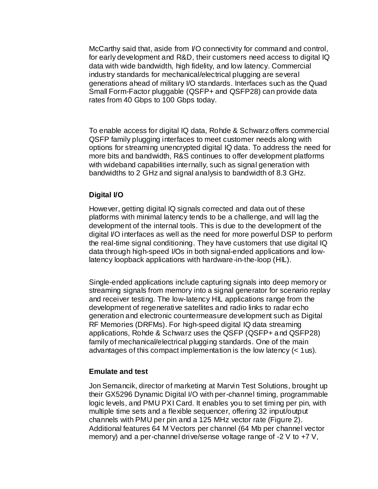McCarthy said that, aside from I/O connectivity for command and control, for early development and R&D, their customers need access to digital IQ data with wide bandwidth, high fidelity, and low latency. Commercial industry standards for mechanical/electrical plugging are several generations ahead of military I/O standards. Interfaces such as the Quad Small Form-Factor pluggable (QSFP+ and QSFP28) can provide data rates from 40 Gbps to 100 Gbps today.

To enable access for digital IQ data, Rohde & Schwarz offers commercial QSFP family plugging interfaces to meet customer needs along with options for streaming unencrypted digital IQ data. To address the need for more bits and bandwidth, R&S continues to offer development platforms with wideband capabilities internally, such as signal generation with bandwidths to 2 GHz and signal analysis to bandwidth of 8.3 GHz.

## **Digital I/O**

However, getting digital IQ signals corrected and data out of these platforms with minimal latency tends to be a challenge, and will lag the development of the internal tools. This is due to the development of the digital I/O interfaces as well as the need for more powerful DSP to perform the real-time signal conditioning. They have customers that use digital IQ data through high-speed I/Os in both signal-ended applications and lowlatency loopback applications with hardware-in-the-loop (HIL).

Single-ended applications include capturing signals into deep memory or streaming signals from memory into a signal generator for scenario replay and receiver testing. The low-latency HIL applications range from the development of regenerative satellites and radio links to radar echo generation and electronic countermeasure development such as Digital RF Memories (DRFMs). For high-speed digital IQ data streaming applications, Rohde & Schwarz uses the QSFP (QSFP+ and QSFP28) family of mechanical/electrical plugging standards. One of the main advantages of this compact implementation is the low latency (< 1us).

#### **Emulate and test**

Jon Semancik, director of marketing at Marvin Test Solutions, brought up their GX5296 Dynamic Digital I/O with per-channel timing, programmable logic levels, and PMU PXI Card. It enables you to set timing per pin, with multiple time sets and a flexible sequencer, offering 32 input/output channels with PMU per pin and a 125 MHz vector rate (Figure 2). Additional features 64 M Vectors per channel (64 Mb per channel vector memory) and a per-channel drive/sense voltage range of -2 V to +7 V,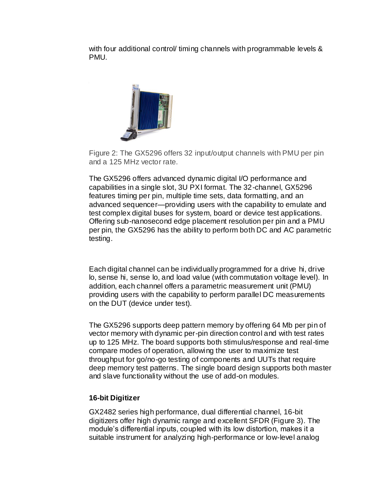with four additional control/ timing channels with programmable levels & PMU.



Figure 2: The GX5296 offers 32 input/output channels with PMU per pin and a 125 MHz vector rate.

The GX5296 offers advanced dynamic digital I/O performance and capabilities in a single slot, 3U PXI format. The 32-channel, GX5296 features timing per pin, multiple time sets, data formatting, and an advanced sequencer—providing users with the capability to emulate and test complex digital buses for system, board or device test applications. Offering sub-nanosecond edge placement resolution per pin and a PMU per pin, the GX5296 has the ability to perform both DC and AC parametric testing.

Each digital channel can be individually programmed for a drive hi, drive lo, sense hi, sense lo, and load value (with commutation voltage level). In addition, each channel offers a parametric measurement unit (PMU) providing users with the capability to perform parallel DC measurements on the DUT (device under test).

The GX5296 supports deep pattern memory by offering 64 Mb per pin of vector memory with dynamic per-pin direction control and with test rates up to 125 MHz. The board supports both stimulus/response and real-time compare modes of operation, allowing the user to maximize test throughput for go/no-go testing of components and UUTs that require deep memory test patterns. The single board design supports both master and slave functionality without the use of add-on modules.

## **16-bit Digitizer**

GX2482 series high performance, dual differential channel, 16-bit digitizers offer high dynamic range and excellent SFDR (Figure 3). The module's differential inputs, coupled with its low distortion, makes it a suitable instrument for analyzing high-performance or low-level analog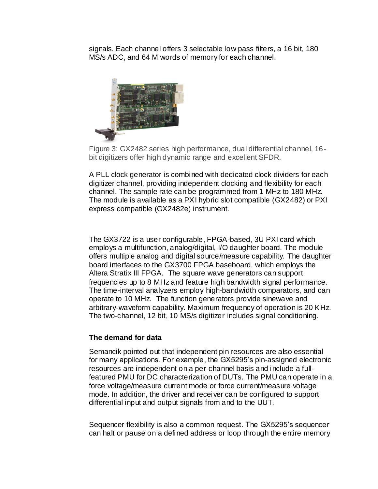signals. Each channel offers 3 selectable low pass filters, a 16 bit, 180 MS/s ADC, and 64 M words of memory for each channel.



Figure 3: GX2482 series high performance, dual differential channel, 16 bit digitizers offer high dynamic range and excellent SFDR.

A PLL clock generator is combined with dedicated clock dividers for each digitizer channel, providing independent clocking and flexibility for each channel. The sample rate can be programmed from 1 MHz to 180 MHz. The module is available as a PXI hybrid slot compatible (GX2482) or PXI express compatible (GX2482e) instrument.

The GX3722 is a user configurable, FPGA-based, 3U PXI card which employs a multifunction, analog/digital, I/O daughter board. The module offers multiple analog and digital source/measure capability. The daughter board interfaces to the GX3700 FPGA baseboard, which employs the Altera Stratix III FPGA. The square wave generators can support frequencies up to 8 MHz and feature high bandwidth signal performance. The time-interval analyzers employ high-bandwidth comparators, and can operate to 10 MHz. The function generators provide sinewave and arbitrary-waveform capability. Maximum frequency of operation is 20 KHz. The two-channel, 12 bit, 10 MS/s digitizer includes signal conditioning.

## **The demand for data**

Semancik pointed out that independent pin resources are also essential for many applications. For example, the GX5295's pin-assigned electronic resources are independent on a per-channel basis and include a fullfeatured PMU for DC characterization of DUTs. The PMU can operate in a force voltage/measure current mode or force current/measure voltage mode. In addition, the driver and receiver can be configured to support differential input and output signals from and to the UUT.

Sequencer flexibility is also a common request. The GX5295's sequencer can halt or pause on a defined address or loop through the entire memory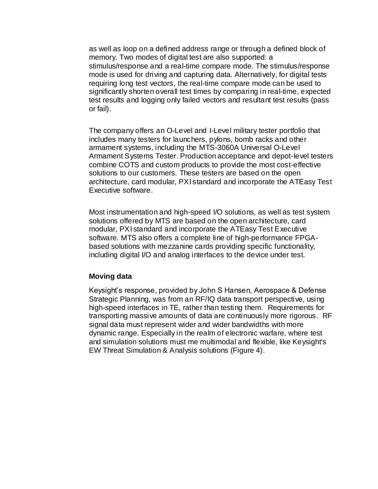as well as loop on a defined address range or through a defined block of memory. Two modes of digital test are also supported: a stimulus/response and a real-time compare mode. The stimulus/response mode is used for driving and capturing data. Alternatively, for digital tests requiring long test vectors, the real-time compare mode can be used to significantly shorten overall test times by comparing in real-time, expected test results and logging only failed vectors and resultant test results (pass or fail).

The company offers an O-Level and I-Level military tester portfolio that includes many testers for launchers, pylons, bomb racks and other armament systems, including the MTS-3060A Universal O-Level Armament Systems Tester. Production acceptance and depot-level testers combine COTS and custom products to provide the most cost-effective solutions to our customers. These testers are based on the open architecture, card modular, PXI standard and incorporate the ATEasy Test Executive software.

Most instrumentation and high-speed I/O solutions, as well as test system solutions offered by MTS are based on the open architecture, card modular, PXI standard and incorporate the ATEasy Test Executive software. MTS also offers a complete line of high-performance FPGAbased solutions with mezzanine cards providing specific functionality, including digital I/O and analog interfaces to the device under test.

#### **Moving data**

Keysight's response, provided by John S Hansen, Aerospace & Defense Strategic Planning, was from an RF/IQ data transport perspective, using high-speed interfaces in TE, rather than testing them. Requirements for transporting massive amounts of data are continuously more rigorous. RF signal data must represent wider and wider bandwidths with more dynamic range. Especially in the realm of electronic warfare, where test and simulation solutions must me multimodal and flexible, like Keysight's EW Threat Simulation & Analysis solutions (Figure 4).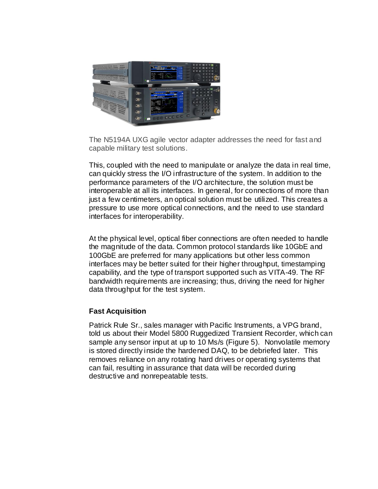

The N5194A UXG agile vector adapter addresses the need for fast and capable military test solutions.

This, coupled with the need to manipulate or analyze the data in real time, can quickly stress the I/O infrastructure of the system. In addition to the performance parameters of the I/O architecture, the solution must be interoperable at all its interfaces. In general, for connections of more than just a few centimeters, an optical solution must be utilized. This creates a pressure to use more optical connections, and the need to use standard interfaces for interoperability.

At the physical level, optical fiber connections are often needed to handle the magnitude of the data. Common protocol standards like 10GbE and 100GbE are preferred for many applications but other less common interfaces may be better suited for their higher throughput, timestamping capability, and the type of transport supported such as VITA-49. The RF bandwidth requirements are increasing; thus, driving the need for higher data throughput for the test system.

#### **Fast Acquisition**

Patrick Rule Sr., sales manager with Pacific Instruments, a VPG brand, told us about their Model 5800 Ruggedized Transient Recorder, which can sample any sensor input at up to 10 Ms/s (Figure 5). Nonvolatile memory is stored directly inside the hardened DAQ, to be debriefed later. This removes reliance on any rotating hard drives or operating systems that can fail, resulting in assurance that data will be recorded during destructive and nonrepeatable tests.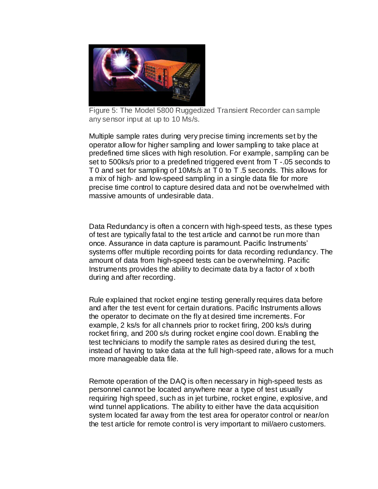

Figure 5: The Model 5800 Ruggedized Transient Recorder can sample any sensor input at up to 10 Ms/s.

Multiple sample rates during very precise timing increments set by the operator allow for higher sampling and lower sampling to take place at predefined time slices with high resolution. For example, sampling can be set to 500ks/s prior to a predefined triggered event from T -.05 seconds to T 0 and set for sampling of 10Ms/s at T 0 to T .5 seconds. This allows for a mix of high- and low-speed sampling in a single data file for more precise time control to capture desired data and not be overwhelmed with massive amounts of undesirable data.

Data Redundancy is often a concern with high-speed tests, as these types of test are typically fatal to the test article and cannot be run more than once. Assurance in data capture is paramount. Pacific Instruments' systems offer multiple recording points for data recording redundancy. The amount of data from high-speed tests can be overwhelming. Pacific Instruments provides the ability to decimate data by a factor of x both during and after recording.

Rule explained that rocket engine testing generally requires data before and after the test event for certain durations. Pacific Instruments allows the operator to decimate on the fly at desired time increments. For example, 2 ks/s for all channels prior to rocket firing, 200 ks/s during rocket firing, and 200 s/s during rocket engine cool down. Enabling the test technicians to modify the sample rates as desired during the test, instead of having to take data at the full high-speed rate, allows for a much more manageable data file.

Remote operation of the DAQ is often necessary in high-speed tests as personnel cannot be located anywhere near a type of test usually requiring high speed, such as in jet turbine, rocket engine, explosive, and wind tunnel applications. The ability to either have the data acquisition system located far away from the test area for operator control or near/on the test article for remote control is very important to mil/aero customers.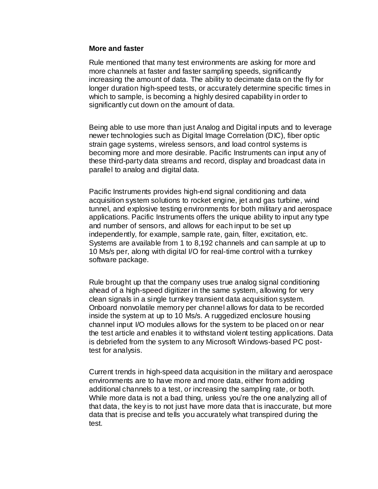#### **More and faster**

Rule mentioned that many test environments are asking for more and more channels at faster and faster sampling speeds, significantly increasing the amount of data. The ability to decimate data on the fly for longer duration high-speed tests, or accurately determine specific times in which to sample, is becoming a highly desired capability in order to significantly cut down on the amount of data.

Being able to use more than just Analog and Digital inputs and to leverage newer technologies such as Digital Image Correlation (DIC), fiber optic strain gage systems, wireless sensors, and load control systems is becoming more and more desirable. Pacific Instruments can input any of these third-party data streams and record, display and broadcast data in parallel to analog and digital data.

Pacific Instruments provides high-end signal conditioning and data acquisition system solutions to rocket engine, jet and gas turbine, wind tunnel, and explosive testing environments for both military and aerospace applications. Pacific Instruments offers the unique ability to input any type and number of sensors, and allows for each input to be set up independently, for example, sample rate, gain, filter, excitation, etc. Systems are available from 1 to 8,192 channels and can sample at up to 10 Ms/s per, along with digital I/O for real-time control with a turnkey software package.

Rule brought up that the company uses true analog signal conditioning ahead of a high-speed digitizer in the same system, allowing for very clean signals in a single turnkey transient data acquisition system. Onboard nonvolatile memory per channel allows for data to be recorded inside the system at up to 10 Ms/s. A ruggedized enclosure housing channel input I/O modules allows for the system to be placed on or near the test article and enables it to withstand violent testing applications. Data is debriefed from the system to any Microsoft Windows-based PC posttest for analysis.

Current trends in high-speed data acquisition in the military and aerospace environments are to have more and more data, either from adding additional channels to a test, or increasing the sampling rate, or both. While more data is not a bad thing, unless you're the one analyzing all of that data, the key is to not just have more data that is inaccurate, but more data that is precise and tells you accurately what transpired during the test.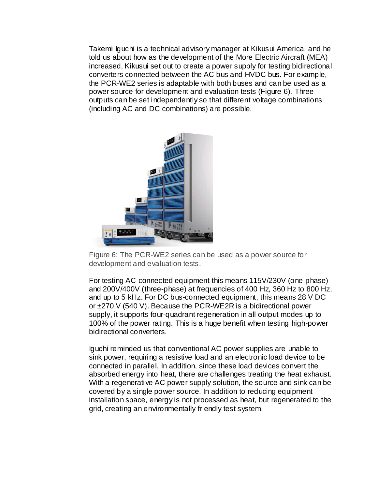Takemi Iguchi is a technical advisory manager at Kikusui America, and he told us about how as the development of the More Electric Aircraft (MEA) increased, Kikusui set out to create a power supply for testing bidirectional converters connected between the AC bus and HVDC bus. For example, the PCR-WE2 series is adaptable with both buses and can be used as a power source for development and evaluation tests (Figure 6). Three outputs can be set independently so that different voltage combinations (including AC and DC combinations) are possible.



Figure 6: The PCR-WE2 series can be used as a power source for development and evaluation tests.

For testing AC-connected equipment this means 115V/230V (one-phase) and 200V/400V (three-phase) at frequencies of 400 Hz, 360 Hz to 800 Hz, and up to 5 kHz. For DC bus-connected equipment, this means 28 V DC or ±270 V (540 V). Because the PCR-WE2R is a bidirectional power supply, it supports four-quadrant regeneration in all output modes up to 100% of the power rating. This is a huge benefit when testing high-power bidirectional converters.

Iguchi reminded us that conventional AC power supplies are unable to sink power, requiring a resistive load and an electronic load device to be connected in parallel. In addition, since these load devices convert the absorbed energy into heat, there are challenges treating the heat exhaust. With a regenerative AC power supply solution, the source and sink can be covered by a single power source. In addition to reducing equipment installation space, energy is not processed as heat, but regenerated to the grid, creating an environmentally friendly test system.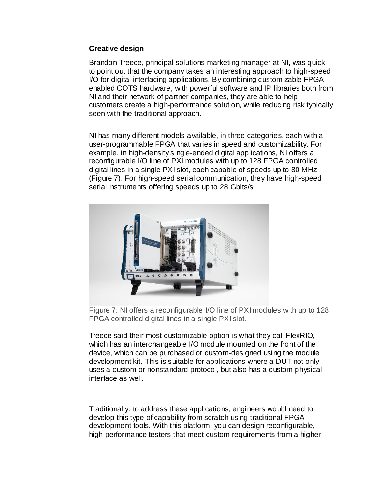## **Creative design**

Brandon Treece, principal solutions marketing manager at NI, was quick to point out that the company takes an interesting approach to high-speed I/O for digital interfacing applications. By combining customizable FPGAenabled COTS hardware, with powerful software and IP libraries both from NI and their network of partner companies, they are able to help customers create a high-performance solution, while reducing risk typically seen with the traditional approach.

NI has many different models available, in three categories, each with a user-programmable FPGA that varies in speed and customizability. For example, in high-density single-ended digital applications, NI offers a reconfigurable I/O line of PXI modules with up to 128 FPGA controlled digital lines in a single PXI slot, each capable of speeds up to 80 MHz (Figure 7). For high-speed serial communication, they have high-speed serial instruments offering speeds up to 28 Gbits/s.



Figure 7: NI offers a reconfigurable I/O line of PXI modules with up to 128 FPGA controlled digital lines in a single PXI slot.

Treece said their most customizable option is what they call FlexRIO, which has an interchangeable I/O module mounted on the front of the device, which can be purchased or custom-designed using the module development kit. This is suitable for applications where a DUT not only uses a custom or nonstandard protocol, but also has a custom physical interface as well.

Traditionally, to address these applications, engineers would need to develop this type of capability from scratch using traditional FPGA development tools. With this platform, you can design reconfigurable, high-performance testers that meet custom requirements from a higher-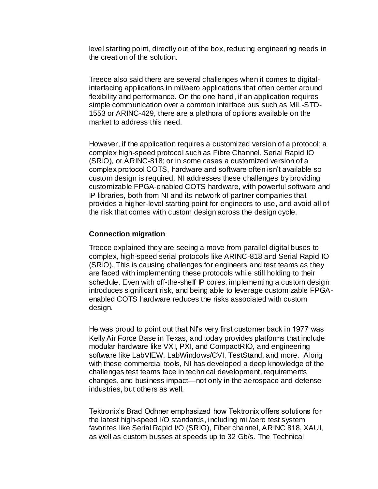level starting point, directly out of the box, reducing engineering needs in the creation of the solution.

Treece also said there are several challenges when it comes to digitalinterfacing applications in mil/aero applications that often center around flexibility and performance. On the one hand, if an application requires simple communication over a common interface bus such as MIL-STD-1553 or ARINC-429, there are a plethora of options available on the market to address this need.

However, if the application requires a customized version of a protocol; a complex high-speed protocol such as Fibre Channel, Serial Rapid IO (SRIO), or ARINC-818; or in some cases a customized version of a complex protocol COTS, hardware and software often isn't available so custom design is required. NI addresses these challenges by providing customizable FPGA-enabled COTS hardware, with powerful software and IP libraries, both from NI and its network of partner companies that provides a higher-level starting point for engineers to use, and avoid all of the risk that comes with custom design across the design cycle.

### **Connection migration**

Treece explained they are seeing a move from parallel digital buses to complex, high-speed serial protocols like ARINC-818 and Serial Rapid IO (SRIO). This is causing challenges for engineers and test teams as they are faced with implementing these protocols while still holding to their schedule. Even with off-the-shelf IP cores, implementing a custom design introduces significant risk, and being able to leverage customizable FPGAenabled COTS hardware reduces the risks associated with custom design.

He was proud to point out that NI's very first customer back in 1977 was Kelly Air Force Base in Texas, and today provides platforms that include modular hardware like VXI, PXI, and CompactRIO, and engineering software like LabVIEW, LabWindows/CVI, TestStand, and more. Along with these commercial tools, NI has developed a deep knowledge of the challenges test teams face in technical development, requirements changes, and business impact—not only in the aerospace and defense industries, but others as well.

Tektronix's Brad Odhner emphasized how Tektronix offers solutions for the latest high-speed I/O standards, including mil/aero test system favorites like Serial Rapid I/O (SRIO), Fiber channel, ARINC 818, XAUI, as well as custom busses at speeds up to 32 Gb/s. The Technical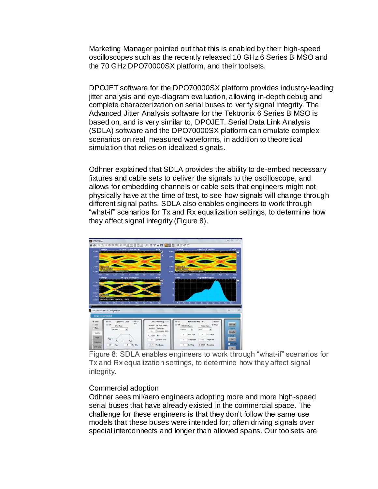Marketing Manager pointed out that this is enabled by their high-speed oscilloscopes such as the recently released 10 GHz 6 Series B MSO and the 70 GHz DPO70000SX platform, and their toolsets.

DPOJET software for the DPO70000SX platform provides industry-leading jitter analysis and eye-diagram evaluation, allowing in-depth debug and complete characterization on serial buses to verify signal integrity. The Advanced Jitter Analysis software for the Tektronix 6 Series B MSO is based on, and is very similar to, DPOJET. Serial Data Link Analysis (SDLA) software and the DPO70000SX platform can emulate complex scenarios on real, measured waveforms, in addition to theoretical simulation that relies on idealized signals.

Odhner explained that SDLA provides the ability to de-embed necessary fixtures and cable sets to deliver the signals to the oscilloscope, and allows for embedding channels or cable sets that engineers might not physically have at the time of test, to see how signals will change through different signal paths. SDLA also enables engineers to work through "what-if" scenarios for Tx and Rx equalization settings, to determine how they affect signal integrity (Figure 8).



Figure 8: SDLA enables engineers to work through "what-if" scenarios for Tx and Rx equalization settings, to determine how they affect signal integrity.

## Commercial adoption

Odhner sees mil/aero engineers adopting more and more high-speed serial buses that have already existed in the commercial space. The challenge for these engineers is that they don't follow the same use models that these buses were intended for; often driving signals over special interconnects and longer than allowed spans. Our toolsets are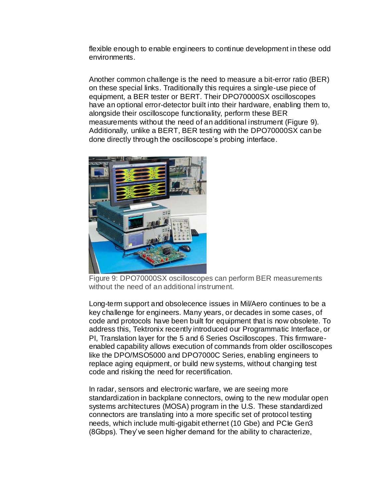flexible enough to enable engineers to continue development in these odd environments.

Another common challenge is the need to measure a bit-error ratio (BER) on these special links. Traditionally this requires a single-use piece of equipment, a BER tester or BERT. Their DPO70000SX oscilloscopes have an optional error-detector built into their hardware, enabling them to, alongside their oscilloscope functionality, perform these BER measurements without the need of an additional instrument (Figure 9). Additionally, unlike a BERT, BER testing with the DPO70000SX can be done directly through the oscilloscope's probing interface.



Figure 9: DPO70000SX oscilloscopes can perform BER measurements without the need of an additional instrument.

Long-term support and obsolecence issues in Mil/Aero continues to be a key challenge for engineers. Many years, or decades in some cases, of code and protocols have been built for equipment that is now obsolete. To address this, Tektronix recently introduced our Programmatic Interface, or PI, Translation layer for the 5 and 6 Series Oscilloscopes. This firmwareenabled capability allows execution of commands from older oscilloscopes like the DPO/MSO5000 and DPO7000C Series, enabling engineers to replace aging equipment, or build new systems, without changing test code and risking the need for recertification.

In radar, sensors and electronic warfare, we are seeing more standardization in backplane connectors, owing to the new modular open systems architectures (MOSA) program in the U.S. These standardized connectors are translating into a more specific set of protocol testing needs, which include multi-gigabit ethernet (10 Gbe) and PCIe Gen3 (8Gbps). They've seen higher demand for the ability to characterize,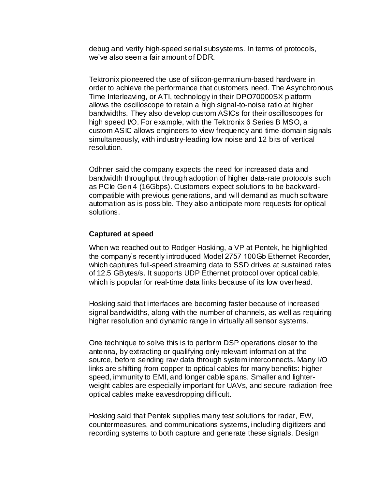debug and verify high-speed serial subsystems. In terms of protocols, we've also seen a fair amount of DDR.

Tektronix pioneered the use of silicon-germanium-based hardware in order to achieve the performance that customers need. The Asynchronous Time Interleaving, or ATI, technology in their DPO70000SX platform allows the oscilloscope to retain a high signal-to-noise ratio at higher bandwidths. They also develop custom ASICs for their oscilloscopes for high speed I/O. For example, with the Tektronix 6 Series B MSO, a custom ASIC allows engineers to view frequency and time-domain signals simultaneously, with industry-leading low noise and 12 bits of vertical resolution.

Odhner said the company expects the need for increased data and bandwidth throughput through adoption of higher data-rate protocols such as PCIe Gen 4 (16Gbps). Customers expect solutions to be backwardcompatible with previous generations, and will demand as much software automation as is possible. They also anticipate more requests for optical solutions.

## **Captured at speed**

When we reached out to Rodger Hosking, a VP at Pentek, he highlighted the company's recently introduced Model 2757 100Gb Ethernet Recorder, which captures full-speed streaming data to SSD drives at sustained rates of 12.5 GBytes/s. It supports UDP Ethernet protocol over optical cable, which is popular for real-time data links because of its low overhead.

Hosking said that interfaces are becoming faster because of increased signal bandwidths, along with the number of channels, as well as requiring higher resolution and dynamic range in virtually all sensor systems.

One technique to solve this is to perform DSP operations closer to the antenna, by extracting or qualifying only relevant information at the source, before sending raw data through system interconnects. Many I/O links are shifting from copper to optical cables for many benefits: higher speed, immunity to EMI, and longer cable spans. Smaller and lighterweight cables are especially important for UAVs, and secure radiation-free optical cables make eavesdropping difficult.

Hosking said that Pentek supplies many test solutions for radar, EW, countermeasures, and communications systems, including digitizers and recording systems to both capture and generate these signals. Design